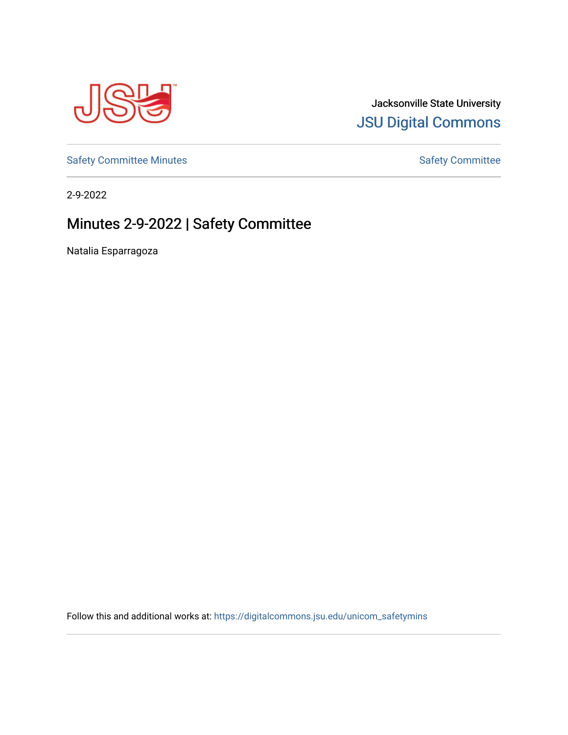

# Jacksonville State University [JSU Digital Commons](https://digitalcommons.jsu.edu/)

[Safety Committee Minutes](https://digitalcommons.jsu.edu/unicom_safetymins) **[Safety Committee](https://digitalcommons.jsu.edu/unicom_safety) Minutes** Safety Committee

2-9-2022

# Minutes 2-9-2022 | Safety Committee

Natalia Esparragoza

Follow this and additional works at: [https://digitalcommons.jsu.edu/unicom\\_safetymins](https://digitalcommons.jsu.edu/unicom_safetymins?utm_source=digitalcommons.jsu.edu%2Funicom_safetymins%2F4&utm_medium=PDF&utm_campaign=PDFCoverPages)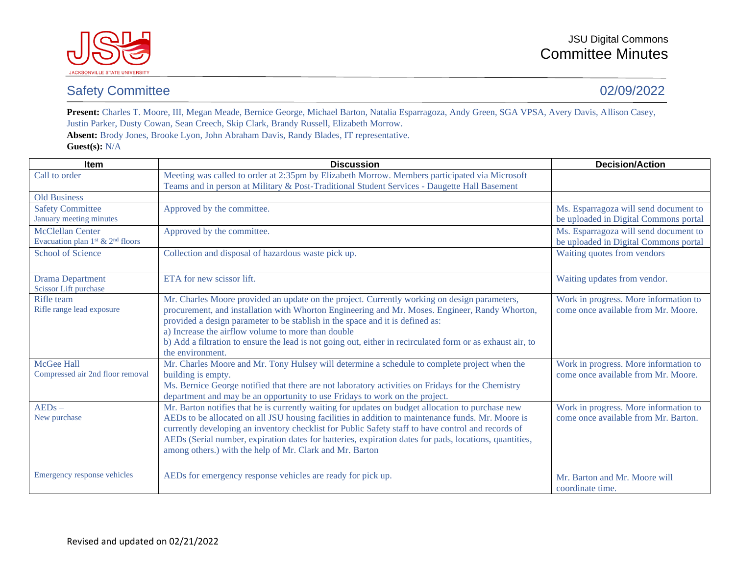

### Safety Committee 02/09/2022

Present: Charles T. Moore, III, Megan Meade, Bernice George, Michael Barton, Natalia Esparragoza, Andy Green, SGA VPSA, Avery Davis, Allison Casey, Justin Parker, Dusty Cowan, Sean Creech, Skip Clark, Brandy Russell, Elizabeth Morrow.

**Absent:** Brody Jones, Brooke Lyon, John Abraham Davis, Randy Blades, IT representative. **Guest(s):** N/A

| <b>Item</b>                                                           | <b>Discussion</b>                                                                                                                                                                                                                                                                                                                                                                                                                                                                  | <b>Decision/Action</b>                                                         |
|-----------------------------------------------------------------------|------------------------------------------------------------------------------------------------------------------------------------------------------------------------------------------------------------------------------------------------------------------------------------------------------------------------------------------------------------------------------------------------------------------------------------------------------------------------------------|--------------------------------------------------------------------------------|
| Call to order                                                         | Meeting was called to order at 2:35pm by Elizabeth Morrow. Members participated via Microsoft<br>Teams and in person at Military & Post-Traditional Student Services - Daugette Hall Basement                                                                                                                                                                                                                                                                                      |                                                                                |
| <b>Old Business</b>                                                   |                                                                                                                                                                                                                                                                                                                                                                                                                                                                                    |                                                                                |
| <b>Safety Committee</b><br>January meeting minutes                    | Approved by the committee.                                                                                                                                                                                                                                                                                                                                                                                                                                                         | Ms. Esparragoza will send document to<br>be uploaded in Digital Commons portal |
| <b>McClellan Center</b><br>Evacuation plan $1^{st}$ & $2^{nd}$ floors | Approved by the committee.                                                                                                                                                                                                                                                                                                                                                                                                                                                         | Ms. Esparragoza will send document to<br>be uploaded in Digital Commons portal |
| <b>School of Science</b>                                              | Collection and disposal of hazardous waste pick up.                                                                                                                                                                                                                                                                                                                                                                                                                                | Waiting quotes from vendors                                                    |
| <b>Drama Department</b><br><b>Scissor Lift purchase</b>               | ETA for new scissor lift.                                                                                                                                                                                                                                                                                                                                                                                                                                                          | Waiting updates from vendor.                                                   |
| Rifle team<br>Rifle range lead exposure                               | Mr. Charles Moore provided an update on the project. Currently working on design parameters,<br>procurement, and installation with Whorton Engineering and Mr. Moses. Engineer, Randy Whorton,<br>provided a design parameter to be stablish in the space and it is defined as:<br>a) Increase the airflow volume to more than double<br>b) Add a filtration to ensure the lead is not going out, either in recirculated form or as exhaust air, to<br>the environment.            | Work in progress. More information to<br>come once available from Mr. Moore.   |
| McGee Hall<br>Compressed air 2nd floor removal                        | Mr. Charles Moore and Mr. Tony Hulsey will determine a schedule to complete project when the<br>building is empty.<br>Ms. Bernice George notified that there are not laboratory activities on Fridays for the Chemistry<br>department and may be an opportunity to use Fridays to work on the project.                                                                                                                                                                             | Work in progress. More information to<br>come once available from Mr. Moore.   |
| $AEDs -$<br>New purchase                                              | Mr. Barton notifies that he is currently waiting for updates on budget allocation to purchase new<br>AEDs to be allocated on all JSU housing facilities in addition to maintenance funds. Mr. Moore is<br>currently developing an inventory checklist for Public Safety staff to have control and records of<br>AEDs (Serial number, expiration dates for batteries, expiration dates for pads, locations, quantities,<br>among others.) with the help of Mr. Clark and Mr. Barton | Work in progress. More information to<br>come once available from Mr. Barton.  |
| Emergency response vehicles                                           | AEDs for emergency response vehicles are ready for pick up.                                                                                                                                                                                                                                                                                                                                                                                                                        | Mr. Barton and Mr. Moore will<br>coordinate time.                              |